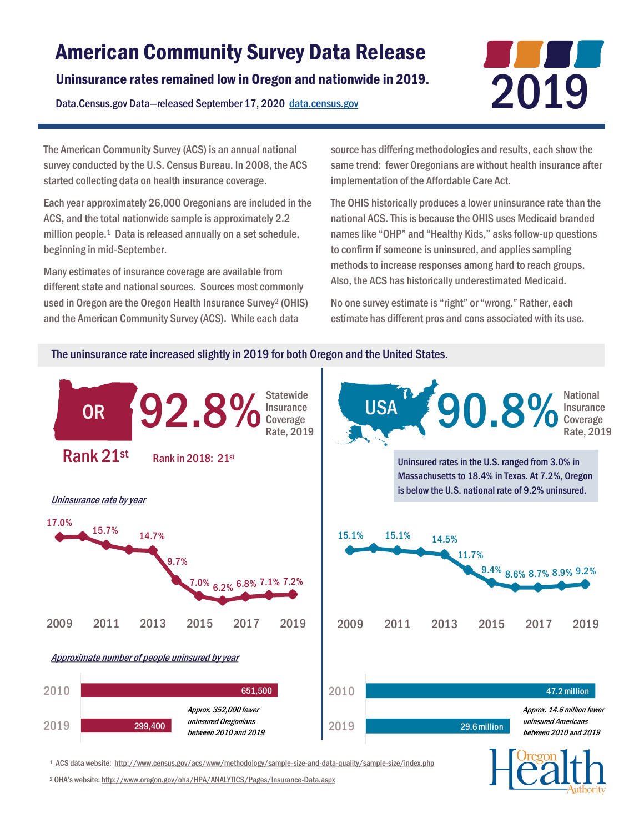# American Community Survey Data Release



The American Community Survey (ACS) is an annual national survey conducted by the U.S. Census Bureau. In 2008, the ACS started collecting data on health insurance coverage.

Each year approximately 26,000 Oregonians are included in the ACS, and the total nationwide sample is approximately 2.2 million people.1 Data is released annually on a set schedule, beginning in mid-September.

Many estimates of insurance coverage are available from different state and national sources. Sources most commonly used in Oregon are the Oregon Health Insurance Survey<sup>2</sup> (OHIS) and the American Community Survey (ACS). While each data

source has differing methodologies and results, each show the same trend: fewer Oregonians are without health insurance after implementation of the Affordable Care Act.

The OHIS historically produces a lower uninsurance rate than the national ACS. This is because the OHIS uses Medicaid branded names like "OHP" and "Healthy Kids," asks follow-up questions to confirm if someone is uninsured, and applies sampling methods to increase responses among hard to reach groups. Also, the ACS has historically underestimated Medicaid.

No one survey estimate is "right" or "wrong." Rather, each estimate has different pros and cons associated with its use.